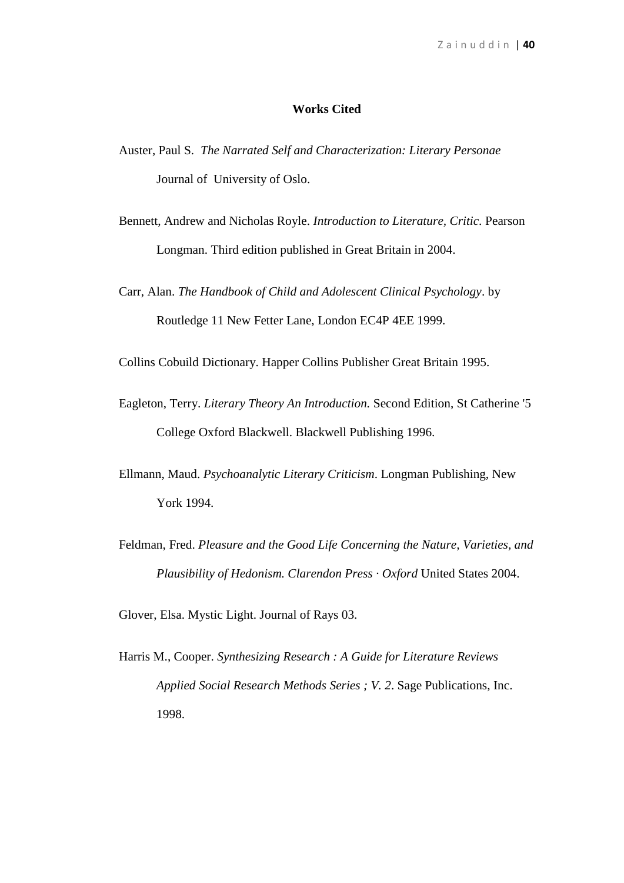## **Works Cited**

- Auster, Paul S. *The Narrated Self and Characterization: Literary Personae* Journal of University of Oslo.
- Bennett, Andrew and Nicholas Royle. *Introduction to Literature, Critic.* Pearson Longman. Third edition published in Great Britain in 2004.
- Carr, Alan. *The Handbook of Child and Adolescent Clinical Psychology*. by Routledge 11 New Fetter Lane, London EC4P 4EE 1999.

Collins Cobuild Dictionary. Happer Collins Publisher Great Britain 1995.

- Eagleton, Terry. *Literary Theory An Introduction.* Second Edition, St Catherine '5 College Oxford Blackwell. Blackwell Publishing 1996.
- Ellmann, Maud. *Psychoanalytic Literary Criticism*. Longman Publishing, New York 1994.
- Feldman, Fred. *Pleasure and the Good Life Concerning the Nature, Varieties, and Plausibility of Hedonism. Clarendon Press · Oxford* United States 2004.
- Glover, Elsa. Mystic Light. Journal of Rays 03.
- Harris M., Cooper. *Synthesizing Research : A Guide for Literature Reviews Applied Social Research Methods Series ; V. 2*. Sage Publications, Inc. 1998.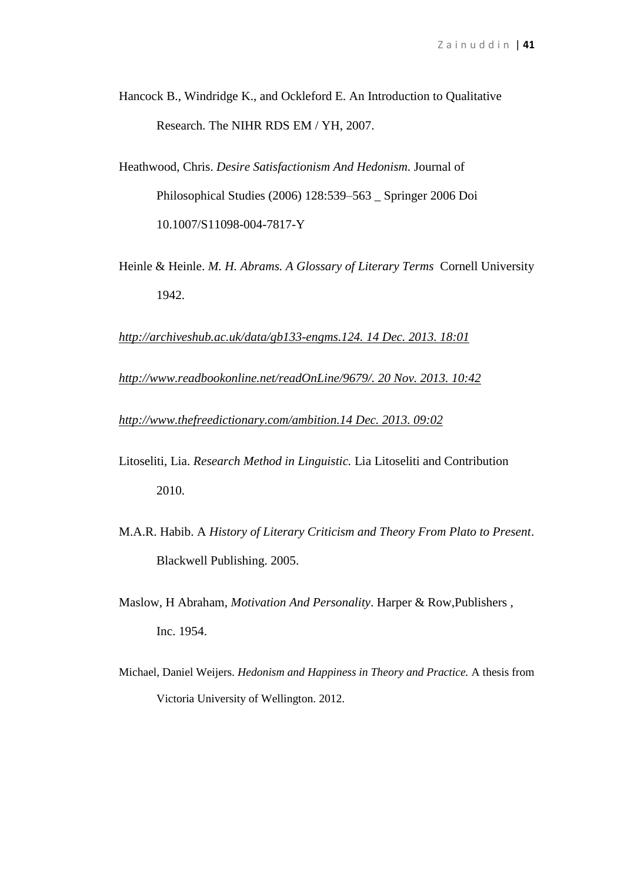- Hancock B., Windridge K., and Ockleford E. An Introduction to Qualitative Research. The NIHR RDS EM / YH, 2007.
- Heathwood, Chris. *Desire Satisfactionism And Hedonism.* Journal of Philosophical Studies (2006) 128:539–563 \_ Springer 2006 Doi 10.1007/S11098-004-7817-Y
- Heinle & Heinle. *M. H. Abrams. A Glossary of Literary Terms* Cornell University 1942.

*[http://archiveshub.ac.uk/data/gb133-engms.124. 14 Dec. 2013. 18:01](http://archiveshub.ac.uk/data/gb133-engms.124.%2014%20Dec.%202013.%2018:01)*

*[http://www.readbookonline.net/readOnLine/9679/.](http://www.readbookonline.net/readOnLine/9679/) 20 Nov. 2013. 10:42* 

*[http://www.thefreedictionary.com/ambition.14 Dec. 2013. 09:02](http://www.thefreedictionary.com/ambition.14%20Dec.%202013.%2009:02)*

- Litoseliti, Lia. *Research Method in Linguistic.* Lia Litoseliti and Contribution 2010.
- M.A.R. Habib. A *History of Literary Criticism and Theory From Plato to Present*. Blackwell Publishing. 2005.
- Maslow, H Abraham, *Motivation And Personality*. Harper & Row,Publishers , Inc. 1954.
- Michael, Daniel Weijers. *Hedonism and Happiness in Theory and Practice.* A thesis from Victoria University of Wellington. 2012.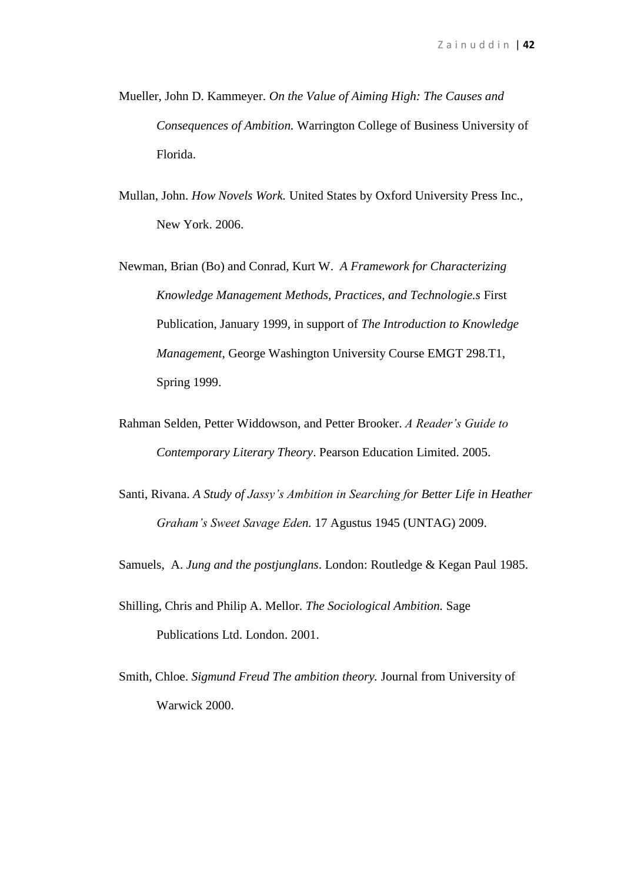- Mueller, John D. Kammeyer. *On the Value of Aiming High: The Causes and Consequences of Ambition.* Warrington College of Business University of Florida.
- Mullan, John. *How Novels Work.* United States by Oxford University Press Inc., New York. 2006.
- Newman, Brian (Bo) and Conrad, Kurt W. *A Framework for Characterizing Knowledge Management Methods, Practices, and Technologie.s* First Publication, January 1999, in support of *The Introduction to Knowledge Management*, George Washington University Course EMGT 298.T1, Spring 1999.
- Rahman Selden, Petter Widdowson, and Petter Brooker. *A Reader's Guide to Contemporary Literary Theory*. Pearson Education Limited. 2005.
- Santi, Rivana. *A Study of Jassy's Ambition in Searching for Better Life in Heather Graham's Sweet Savage Eden.* 17 Agustus 1945 (UNTAG) 2009.
- Samuels, A. *Jung and the postjunglans*. London: Routledge & Kegan Paul 1985.
- Shilling, Chris and Philip A. Mellor. *The Sociological Ambition.* Sage Publications Ltd. London. 2001.
- Smith, Chloe. *Sigmund Freud The ambition theory.* Journal from University of Warwick 2000.